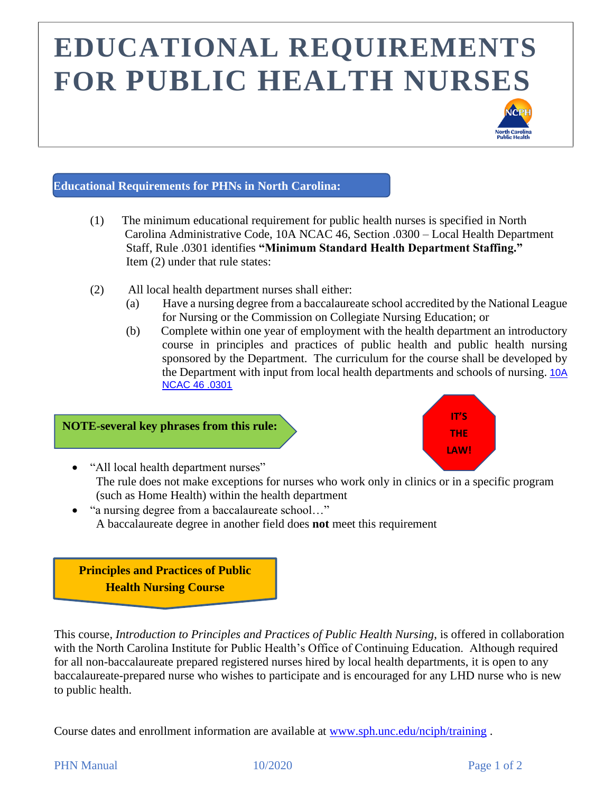## **EDUCATIONAL REQUIREMENTS FOR PUBLIC HEALTH NURSES**



### **Educational Requirements for PHNs in North Carolina:**

- (1) The minimum educational requirement for public health nurses is specified in North Carolina Administrative Code, 10A NCAC 46, Section .0300 – Local Health Department Staff, Rule .0301 identifies **"Minimum Standard Health Department Staffing."**  Item (2) under that rule states:
- (2) All local health department nurses shall either:
	- (a) Have a nursing degree from a baccalaureate school accredited by the National League for Nursing or the Commission on Collegiate Nursing Education; or
	- (b) Complete within one year of employment with the health department an introductory course in principles and practices of public health and public health nursing sponsored by the Department. The curriculum for the course shall be developed by the Department with input from local health departments and schools of nursing. [10A](http://reports.oah.state.nc.us/ncac/title%2010a%20-%20health%20and%20human%20services/chapter%2046%20-%20local%20standards/10a%20ncac%2046%20.0301.pdf)  [NCAC 46 .0301](http://reports.oah.state.nc.us/ncac/title%2010a%20-%20health%20and%20human%20services/chapter%2046%20-%20local%20standards/10a%20ncac%2046%20.0301.pdf)

#### **NOTE-several key phrases from this rule:**



- "All local health department nurses" The rule does not make exceptions for nurses who work only in clinics or in a specific program (such as Home Health) within the health department
- "a nursing degree from a baccalaureate school..." A baccalaureate degree in another field does **not** meet this requirement

**Principles and Practices of Public Health Nursing Course**

This course, *Introduction to Principles and Practices of Public Health Nursing*, is offered in collaboration with the North Carolina Institute for Public Health's Office of Continuing Education. Although required for all non-baccalaureate prepared registered nurses hired by local health departments, it is open to any baccalaureate-prepared nurse who wishes to participate and is encouraged for any LHD nurse who is new to public health.

Course dates and enrollment information are available at [www.sph.unc.edu/nciph/training](http://www.sph.unc.edu/nciph/training) .